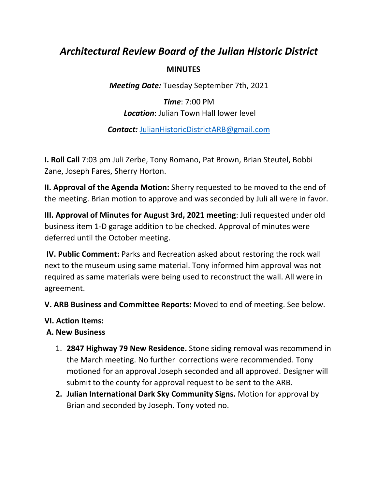# *Architectural Review Board of the Julian Historic District*

### **MINUTES**

*Meeting Date:* Tuesday September 7th, 2021

*Time*: 7:00 PM *Location*: Julian Town Hall lower level

*Contact:* JulianHistoricDistrictARB@gmail.com

**I. Roll Call** 7:03 pm Juli Zerbe, Tony Romano, Pat Brown, Brian Steutel, Bobbi Zane, Joseph Fares, Sherry Horton.

**II. Approval of the Agenda Motion:** Sherry requested to be moved to the end of the meeting. Brian motion to approve and was seconded by Juli all were in favor.

**III. Approval of Minutes for August 3rd, 2021 meeting**: Juli requested under old business item 1‐D garage addition to be checked. Approval of minutes were deferred until the October meeting.

**IV. Public Comment:** Parks and Recreation asked about restoring the rock wall next to the museum using same material. Tony informed him approval was not required as same materials were being used to reconstruct the wall. All were in agreement.

**V. ARB Business and Committee Reports:** Moved to end of meeting. See below.

#### **VI. Action Items:**

#### **A. New Business**

- 1. **2847 Highway 79 New Residence.** Stone siding removal was recommend in the March meeting. No further corrections were recommended. Tony motioned for an approval Joseph seconded and all approved. Designer will submit to the county for approval request to be sent to the ARB.
- **2. Julian International Dark Sky Community Signs.** Motion for approval by Brian and seconded by Joseph. Tony voted no.